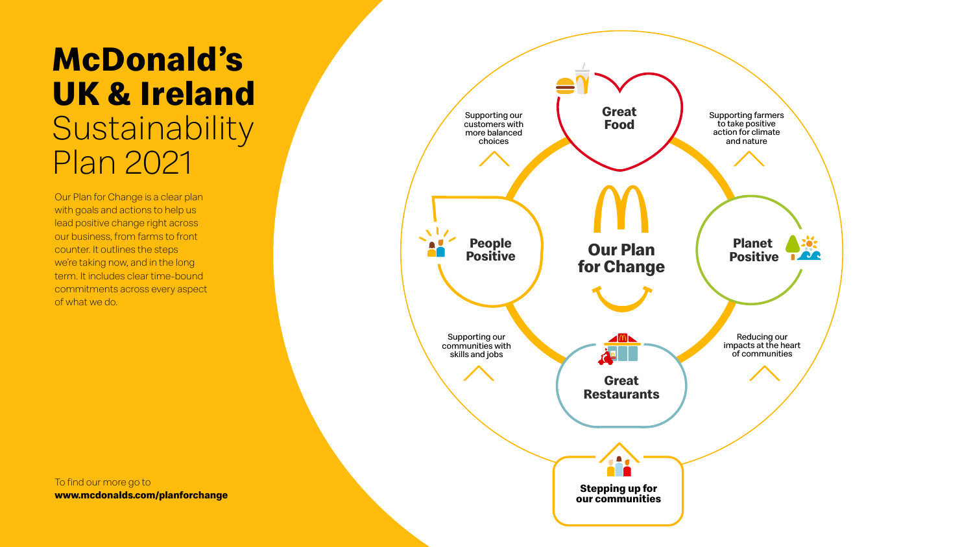# **McDonald's UK & Ireland** Sustainability Plan 2021

Our Plan for Change is a clear plan with goals and actions to help us lead positive change right across our business, from farms to front counter. It outlines the steps we're taking now, and in the long term. It includes clear time-bound commitments across every aspect of what we do.



To find our more go to **<www.mcdonalds.com/planforchange>**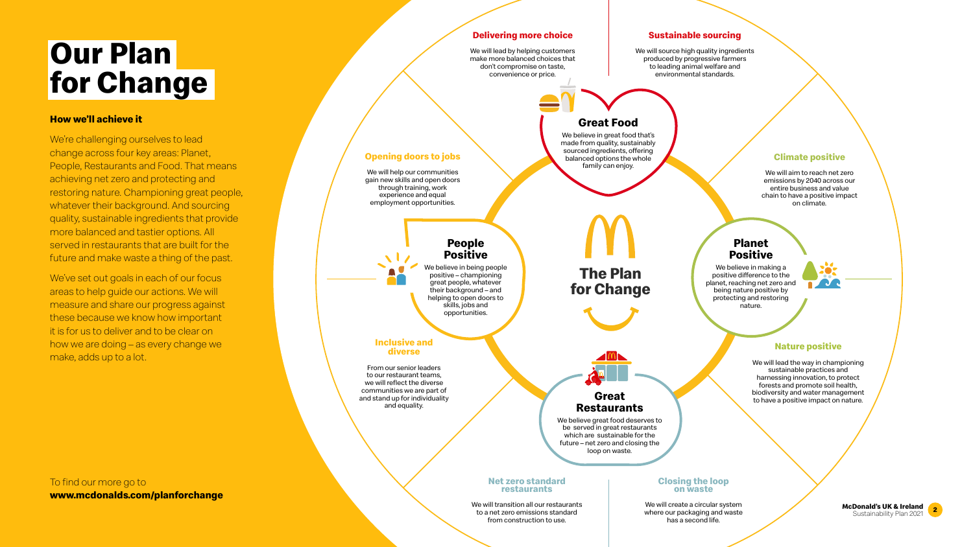# **Our Plan for Change**

#### **How we'll achieve it**

We're challenging ourselves to lead change across four key areas: Planet, People, Restaurants and Food. That means achieving net zero and protecting and restoring nature. Championing great people, whatever their background. And sourcing quality, sustainable ingredients that provide more balanced and tastier options. All served in restaurants that are built for the future and make waste a thing of the past.

We've set out goals in each of our focus areas to help guide our actions. We will measure and share our progress against these because we know how important it is for us to deliver and to be clear on how we are doing – as every change we make, adds up to a lot.

**The Plan**

**for Change**

#### **Delivering more choice**

We will lead by helping customers make more balanced choices that don't compromise on taste, convenience or price.

#### **Sustainable sourcing**

We will source high quality ingredients produced by progressive farmers to leading animal welfare and environmental standards.

#### **Opening doors to jobs**

We believe in great food that's made from quality, sustainably sourced ingredients, offering balanced options the whole family can enjoy.

We will help our communities gain new skills and open doors through training, work experience and equal employment opportunities.

#### **Inclusive and diverse**

From our senior leaders to our restaurant teams, we will reflect the diverse communities we are part of and stand up for individuality and equality.

#### **Net zero standard restaurants**

We will transition all our restaurants to a net zero emissions standard from construction to use.

### **Closing the loop on waste**

We will create a circular system where our packaging and waste has a second life.

**Climate positive**

We will aim to reach net zero emissions by 2040 across our entire business and value chain to have a positive impact on climate.

#### **Nature positive**

We will lead the way in championing sustainable practices and harnessing innovation, to protect forests and promote soil health, biodiversity and water management to have a positive impact on nature.

### **Great Food**

#### **Great Restaurants**

We believe great food deserves to be served in great restaurants which are sustainable for the future – net zero and closing the loop on waste.

### **People Positive**

We believe in being people positive – championing great people, whatever their background – and helping to open doors to skills, jobs and opportunities.

#### **Planet Positive**

We believe in making a positive difference to the planet, reaching net zero and being nature positive by protecting and restoring nature.



**<sup>2</sup> McDonald's UK & Ireland** Sustainability Plan 2021





To find our more go to **<www.mcdonalds.com/planforchange>**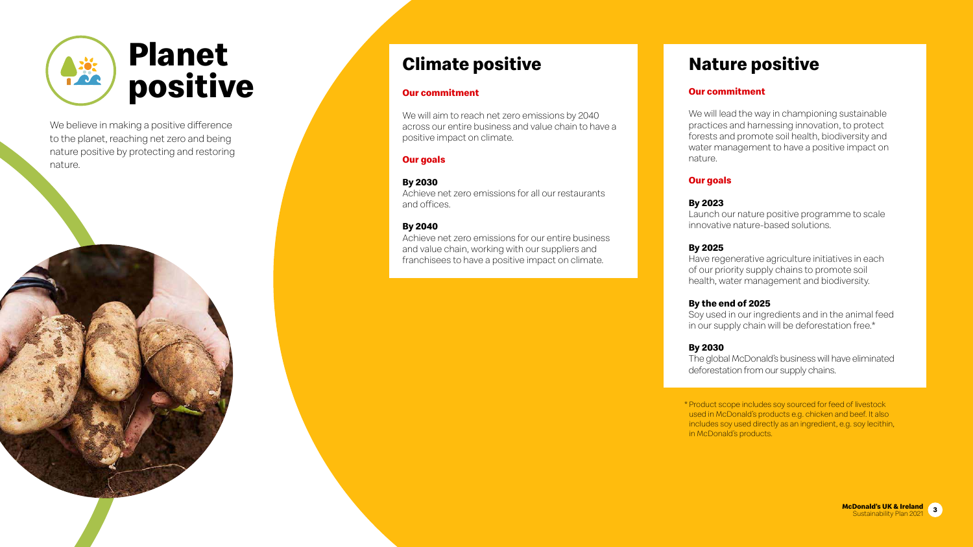## **Climate positive**

### **Our commitment**

We will aim to reach net zero emissions by 2040 across our entire business and value chain to have a positive impact on climate.

#### **Our goals**

Achieve net zero emissions for all our restaurants

**By 2030** and offices.

### **By 2040**

We will lead the way in championing sustainable practices and harnessing innovation, to protect forests and promote soil health, biodiversity and water management to have a positive impact on nature.

Achieve net zero emissions for our entire business and value chain, working with our suppliers and franchisees to have a positive impact on climate.

### **Nature positive**

#### **Our commitment**

#### **Our goals**

#### **By 2023**

Launch our nature positive programme to scale innovative nature-based solutions.

#### **By 2025**

Have regenerative agriculture initiatives in each of our priority supply chains to promote soil health, water management and biodiversity.

#### **By the end of 2025**

Soy used in our ingredients and in the animal feed in our supply chain will be deforestation free.\*

#### **By 2030**

The global McDonald's business will have eliminated deforestation from our supply chains.

 \* Product scope includes soy sourced for feed of livestock used in McDonald's products e.g. chicken and beef. It also includes soy used directly as an ingredient, e.g. soy lecithin, in McDonald's products.





We believe in making a positive difference to the planet, reaching net zero and being nature positive by protecting and restoring nature.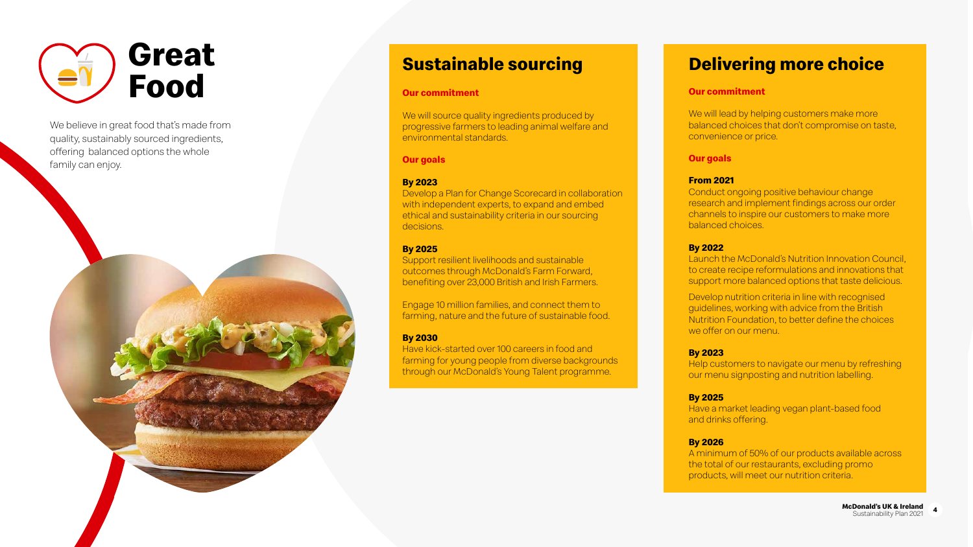### **Sustainable sourcing**

#### **Our commitment**

We will source quality ingredients produced by progressive farmers to leading animal welfare and environmental standards.

#### **Our goals**

#### **By 2023**

Develop a Plan for Change Scorecard in collaboration with independent experts, to expand and embed ethical and sustainability criteria in our sourcing decisions.

#### **By 2025**

Support resilient livelihoods and sustainable outcomes through McDonald's Farm Forward, benefiting over 23,000 British and Irish Farmers. We will lead by helping customers make more balanced choices that don't compromise on taste, convenience or price.

Engage 10 million families, and connect them to farming, nature and the future of sustainable food.

#### **By 2030**

Have kick-started over 100 careers in food and farming for young people from diverse backgrounds through our McDonald's Young Talent programme.

### **Delivering more choice**

#### **Our commitment**

#### **Our goals**

#### **From 2021**

Conduct ongoing positive behaviour change research and implement findings across our order channels to inspire our customers to make more balanced choices.

#### **By 2022**

Launch the McDonald's Nutrition Innovation Council, to create recipe reformulations and innovations that support more balanced options that taste delicious.

Develop nutrition criteria in line with recognised guidelines, working with advice from the British Nutrition Foundation, to better define the choices we offer on our menu.

#### **By 2023**

Help customers to navigate our menu by refreshing our menu signposting and nutrition labelling.

#### **By 2025**

Have a market leading vegan plant-based food and drinks offering.

#### **By 2026**

A minimum of 50% of our products available across the total of our restaurants, excluding promo products, will meet our nutrition criteria.





We believe in great food that's made from quality, sustainably sourced ingredients, offering balanced options the whole family can enjoy.

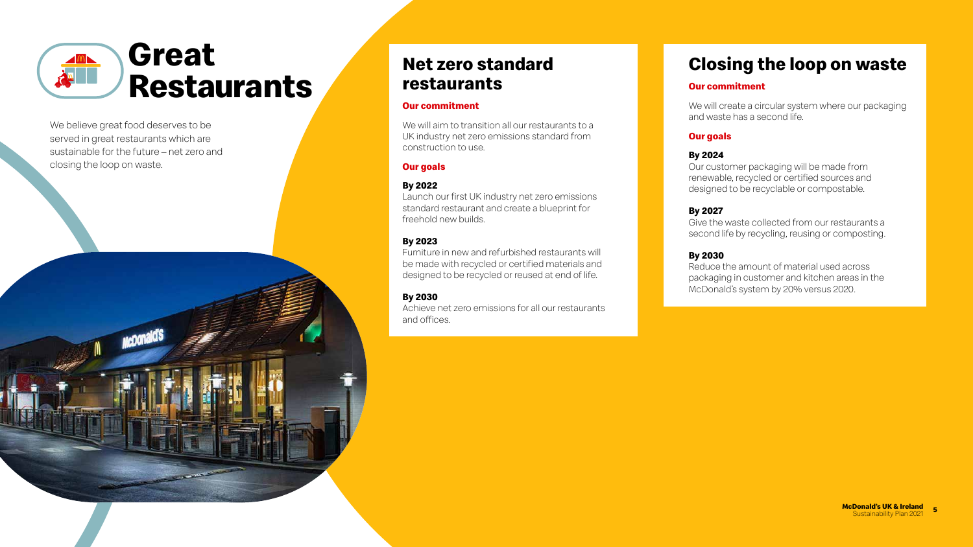### **Net zero standard restaurants**

#### **Our commitment**

We will aim to transition all our restaurants to a UK industry net zero emissions standard from construction to use.

#### **Our goals**

#### **By 2022**

Launch our first UK industry net zero emissions standard restaurant and create a blueprint for freehold new builds.

#### **By 2023**

Furniture in new and refurbished restaurants will be made with recycled or certified materials and designed to be recycled or reused at end of life.

## **By 2030**

Achieve net zero emissions for all our restaurants

and offices.

### **Closing the loop on waste**

#### **Our commitment**

We will create a circular system where our packaging and waste has a second life.

#### **Our goals**

#### **By 2024**

Our customer packaging will be made from renewable, recycled or certified sources and designed to be recyclable or compostable.

#### **By 2027**

Give the waste collected from our restaurants a second life by recycling, reusing or composting.

#### **By 2030**

Reduce the amount of material used across packaging in customer and kitchen areas in the McDonald's system by 20% versus 2020.



We believe great food deserves to be served in great restaurants which are sustainable for the future – net zero and closing the loop on waste.



### **Great Restaurants**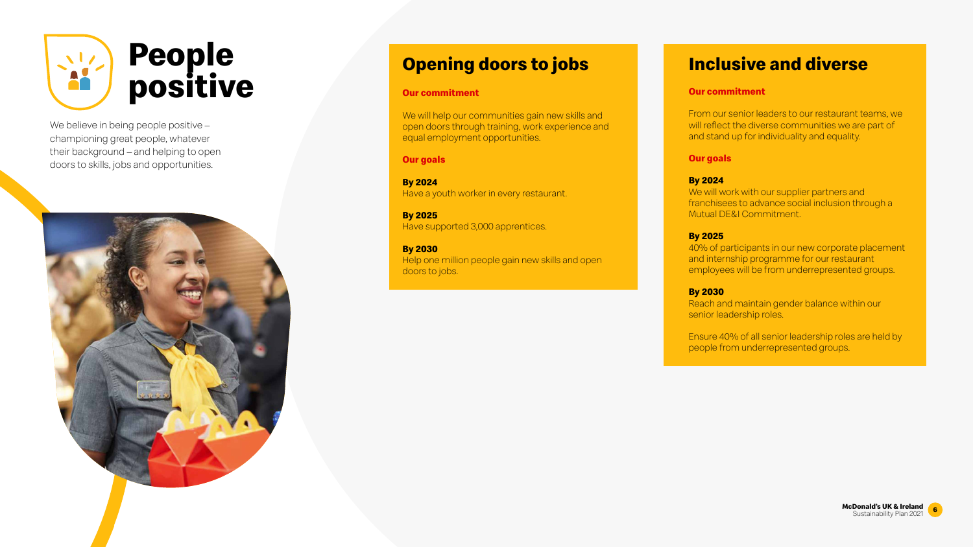## **Opening doors to jobs**

#### **Our commitment**

We will help our communities gain new skills and open doors through training, work experience and equal employment opportunities.

**Our goals**

**By 2024**

Have a youth worker in every restaurant.

**By 2025**

Have supported 3,000 apprentices.

Help one million people gain new skills and open

**By 2030** doors to jobs.

We will work with our supplier partners and franchisees to advance social inclusion through a Mutual DE&I Commitment.

### **Inclusive and diverse**

#### **Our commitment**

From our senior leaders to our restaurant teams, we will reflect the diverse communities we are part of and stand up for individuality and equality.

#### **Our goals**

#### **By 2024**

We believe in being people positive championing great people, whatever their background – and helping to open doors to skills, jobs and opportunities.



#### **By 2025**

40% of participants in our new corporate placement and internship programme for our restaurant employees will be from underrepresented groups.

#### **By 2030**

Reach and maintain gender balance within our senior leadership roles.

Ensure 40% of all senior leadership roles are held by people from underrepresented groups.





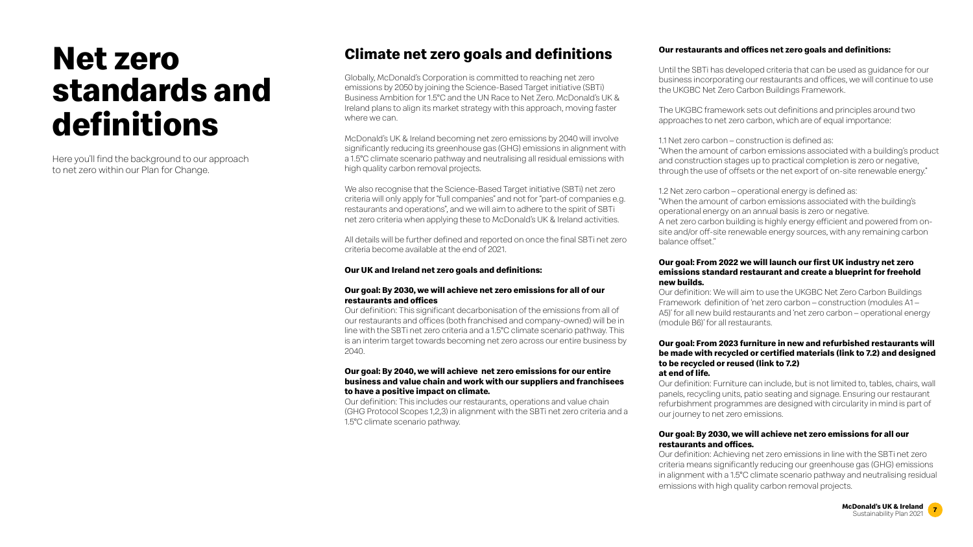### **Climate net zero goals and definitions**

Globally, McDonald's Corporation is committed to reaching net zero emissions by 2050 by joining the Science-Based Target initiative (SBTi) Business Ambition for 1.5°C and the UN Race to Net Zero. McDonald's UK & Ireland plans to align its market strategy with this approach, moving faster where we can.

McDonald's UK & Ireland becoming net zero emissions by 2040 will involve significantly reducing its greenhouse gas (GHG) emissions in alignment with a 1.5°C climate scenario pathway and neutralising all residual emissions with high quality carbon removal projects.

We also recognise that the Science-Based Target initiative (SBTi) net zero criteria will only apply for "full companies" and not for "part-of companies e.g. restaurants and operations", and we will aim to adhere to the spirit of SBTi net zero criteria when applying these to McDonald's UK & Ireland activities.

All details will be further defined and reported on once the final SBTi net zero criteria become available at the end of 2021.

#### **Our UK and Ireland net zero goals and definitions:**

#### **Our goal: By 2030, we will achieve net zero emissions for all of our restaurants and offices**

Our definition: This significant decarbonisation of the emissions from all of our restaurants and offices (both franchised and company-owned) will be in line with the SBTi net zero criteria and a 1.5°C climate scenario pathway. This is an interim target towards becoming net zero across our entire business by 2040.

#### **Our goal: By 2040, we will achieve net zero emissions for our entire business and value chain and work with our suppliers and franchisees to have a positive impact on climate.**

Our definition: This includes our restaurants, operations and value chain (GHG Protocol Scopes 1,2,3) in alignment with the SBTi net zero criteria and a 1.5°C climate scenario pathway.

#### **Our restaurants and offices net zero goals and definitions:**

Until the SBTi has developed criteria that can be used as guidance for our business incorporating our restaurants and offices, we will continue to use the UKGBC Net Zero Carbon Buildings Framework.

The UKGBC framework sets out definitions and principles around two approaches to net zero carbon, which are of equal importance:

1.1 Net zero carbon – construction is defined as:

"When the amount of carbon emissions associated with a building's product and construction stages up to practical completion is zero or negative, through the use of offsets or the net export of on-site renewable energy."

1.2 Net zero carbon – operational energy is defined as:

"When the amount of carbon emissions associated with the building's operational energy on an annual basis is zero or negative.

A net zero carbon building is highly energy efficient and powered from onsite and/or off-site renewable energy sources, with any remaining carbon balance offset.''

#### **Our goal: From 2022 we will launch our first UK industry net zero emissions standard restaurant and create a blueprint for freehold new builds.**

Our definition: We will aim to use the UKGBC Net Zero Carbon Buildings Framework definition of 'net zero carbon – construction (modules A1 – A5)' for all new build restaurants and 'net zero carbon – operational energy (module B6)' for all restaurants.

#### **Our goal: From 2023 furniture in new and refurbished restaurants will be made with recycled or certified materials (link to 7.2) and designed to be recycled or reused (link to 7.2) at end of life.**

Our definition: Furniture can include, but is not limited to, tables, chairs, wall panels, recycling units, patio seating and signage. Ensuring our restaurant refurbishment programmes are designed with circularity in mind is part of our journey to net zero emissions.

#### **Our goal: By 2030, we will achieve net zero emissions for all our restaurants and offices.**

Our definition: Achieving net zero emissions in line with the SBTi net zero criteria means significantly reducing our greenhouse gas (GHG) emissions in alignment with a 1.5°C climate scenario pathway and neutralising residual emissions with high quality carbon removal projects.





















# **Net zero standards and definitions**

Here you'll find the background to our approach to net zero within our Plan for Change.